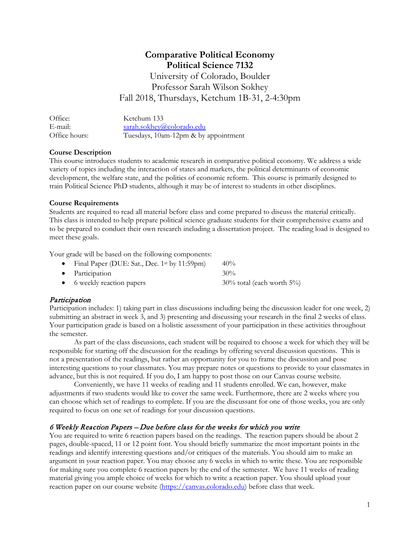# **Comparative Political Economy Political Science 7132** University of Colorado, Boulder

Professor Sarah Wilson Sokhey Fall 2018, Thursdays, Ketchum 1B-31, 2-4:30pm

| Office:       | Ketchum 133                          |
|---------------|--------------------------------------|
| E-mail:       | sarah.sokhey@colorado.edu            |
| Office hours: | Tuesdays, 10am-12pm & by appointment |

### **Course Description**

This course introduces students to academic research in comparative political economy. We address a wide variety of topics including the interaction of states and markets, the political determinants of economic development, the welfare state, and the politics of economic reform. This course is primarily designed to train Political Science PhD students, although it may be of interest to students in other disciplines.

### **Course Requirements**

Students are required to read all material before class and come prepared to discuss the material critically. This class is intended to help prepare political science graduate students for their comprehensive exams and to be prepared to conduct their own research including a dissertation project. The reading load is designed to meet these goals.

Your grade will be based on the following components:

| • Final Paper (DUE: Sat., Dec. $1^{st}$ by $11:59$ pm) | $40\%$                           |
|--------------------------------------------------------|----------------------------------|
| $\bullet$ Participation                                | $30\%$                           |
| • 6 weekly reaction papers                             | $30\%$ total (each worth $5\%$ ) |

# Participation

Participation includes: 1) taking part in class discussions including being the discussion leader for one week, 2) submitting an abstract in week 3, and 3) presenting and discussing your research in the final 2 weeks of class. Your participation grade is based on a holistic assessment of your participation in these activities throughout the semester.

As part of the class discussions, each student will be required to choose a week for which they will be responsible for starting off the discussion for the readings by offering several discussion questions. This is not a presentation of the readings, but rather an opportunity for you to frame the discussion and pose interesting questions to your classmates. You may prepare notes or questions to provide to your classmates in advance, but this is not required. If you do, I am happy to post those on our Canvas course website.

Conveniently, we have 11 weeks of reading and 11 students enrolled. We can, however, make adjustments if two students would like to cover the same week. Furthermore, there are 2 weeks where you can choose which set of readings to complete. If you are the discussant for one of those weeks, you are only required to focus on one set of readings for your discussion questions.

### 6 Weekly Reaction Papers – Due before class for the weeks for which you write

You are required to write 6 reaction papers based on the readings. The reaction papers should be about 2 pages, double-spaced, 11 or 12 point font. You should briefly summarize the most important points in the readings and identify interesting questions and/or critiques of the materials. You should aim to make an argument in your reaction paper. You may choose any 6 weeks in which to write these. You are responsible for making sure you complete 6 reaction papers by the end of the semester. We have 11 weeks of reading material giving you ample choice of weeks for which to write a reaction paper. You should upload your reaction paper on our course website [\(https://canvas.colorado.edu\)](https://canvas.colorado.edu/) before class that week.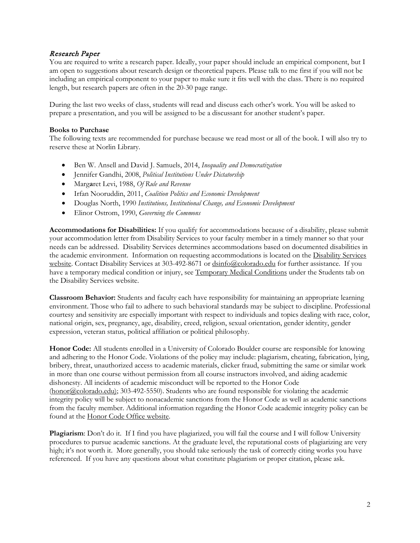## Research Paper

You are required to write a research paper. Ideally, your paper should include an empirical component, but I am open to suggestions about research design or theoretical papers. Please talk to me first if you will not be including an empirical component to your paper to make sure it fits well with the class. There is no required length, but research papers are often in the 20-30 page range.

During the last two weeks of class, students will read and discuss each other's work. You will be asked to prepare a presentation, and you will be assigned to be a discussant for another student's paper.

#### **Books to Purchase**

The following texts are recommended for purchase because we read most or all of the book. I will also try to reserve these at Norlin Library.

- Ben W. Ansell and David J. Samuels, 2014, *Inequality and Democratization*
- Jennifer Gandhi, 2008, *Political Institutions Under Dictatorship*
- Marg**a**ret Levi, 1988, *Of Rule and Revenue*
- Irfan Nooruddin, 2011, *Coalition Politics and Economic Development*
- Douglas North, 1990 *Institutions, Institutional Change, and Economic Development*
- Elinor Ostrom, 1990, *Governing the Commons*

**Accommodations for Disabilities:** If you qualify for accommodations because of a disability, please submit your accommodation letter from Disability Services to your faculty member in a timely manner so that your needs can be addressed. Disability Services determines accommodations based on documented disabilities in the academic environment. Information on requesting accommodations is located on the [Disability Services](http://www.colorado.edu/disabilityservices/students)  [website.](http://www.colorado.edu/disabilityservices/students) Contact Disability Services at 303-492-8671 or  $\frac{d \sin 6Q \cos 0 \cosh 2Q \sin 0}{d \sin 6Q \cos 0}$  for further assistance. If you have a temporary medical condition or injury, se[e Temporary Medical Conditions](http://www.colorado.edu/disabilityservices/students/temporary-medical-conditions) under the Students tab on the Disability Services website.

**Classroom Behavior:** Students and faculty each have responsibility for maintaining an appropriate learning environment. Those who fail to adhere to such behavioral standards may be subject to discipline. Professional courtesy and sensitivity are especially important with respect to individuals and topics dealing with race, color, national origin, sex, pregnancy, age, disability, creed, religion, sexual orientation, gender identity, gender expression, veteran status, political affiliation or political philosophy.

**Honor Code:** All students enrolled in a University of Colorado Boulder course are responsible for knowing and adhering to the Honor Code. Violations of the policy may include: plagiarism, cheating, fabrication, lying, bribery, threat, unauthorized access to academic materials, clicker fraud, submitting the same or similar work in more than one course without permission from all course instructors involved, and aiding academic dishonesty. All incidents of academic misconduct will be reported to the Honor Code [\(honor@colorado.edu\)](mailto:honor@colorado.edu); 303-492-5550). Students who are found responsible for violating the academic integrity policy will be subject to nonacademic sanctions from the Honor Code as well as academic sanctions from the faculty member. Additional information regarding the Honor Code academic integrity policy can be found at the [Honor Code Office website.](https://www.colorado.edu/osccr/honor-code)

**Plagiarism**: Don't do it. If I find you have plagiarized, you will fail the course and I will follow University procedures to pursue academic sanctions. At the graduate level, the reputational costs of plagiarizing are very high; it's not worth it. More generally, you should take seriously the task of correctly citing works you have referenced. If you have any questions about what constitute plagiarism or proper citation, please ask.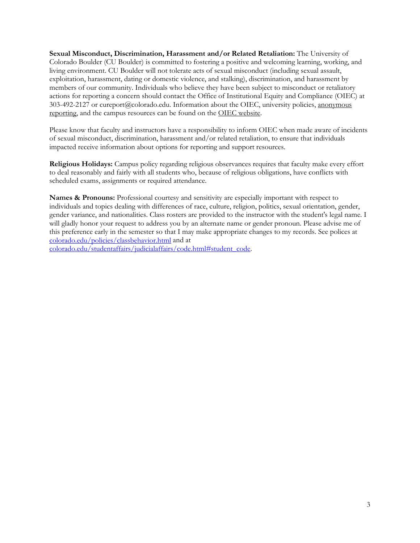**Sexual Misconduct, Discrimination, Harassment and/or Related Retaliation:** The University of Colorado Boulder (CU Boulder) is committed to fostering a positive and welcoming learning, working, and living environment. CU Boulder will not tolerate acts of sexual misconduct (including sexual assault, exploitation, harassment, dating or domestic violence, and stalking), discrimination, and harassment by members of our community. Individuals who believe they have been subject to misconduct or retaliatory actions for reporting a concern should contact the Office of Institutional Equity and Compliance (OIEC) at 303-492-2127 or cureport@colorado.edu. Information about the OIEC, university policies, [anonymous](https://cuboulder.qualtrics.com/jfe/form/SV_0PnqVK4kkIJIZnf)  [reporting,](https://cuboulder.qualtrics.com/jfe/form/SV_0PnqVK4kkIJIZnf) and the campus resources can be found on the [OIEC website.](http://www.colorado.edu/institutionalequity/) 

Please know that faculty and instructors have a responsibility to inform OIEC when made aware of incidents of sexual misconduct, discrimination, harassment and/or related retaliation, to ensure that individuals impacted receive information about options for reporting and support resources.

**Religious Holidays:** Campus policy regarding religious observances requires that faculty make every effort to deal reasonably and fairly with all students who, because of religious obligations, have conflicts with scheduled exams, assignments or required attendance.

**Names & Pronouns:** Professional courtesy and sensitivity are especially important with respect to individuals and topics dealing with differences of race, culture, religion, politics, sexual orientation, gender, gender variance, and nationalities. Class rosters are provided to the instructor with the student's legal name. I will gladly honor your request to address you by an alternate name or gender pronoun. Please advise me of this preference early in the semester so that I may make appropriate changes to my records. See polices at [colorado.edu/policies/classbehavior.html](http://www.colorado.edu/policies/classbehavior.html) and at

[colorado.edu/studentaffairs/judicialaffairs/code.html#student\\_code.](http://www.colorado.edu/studentaffairs/judicialaffairs/code.html)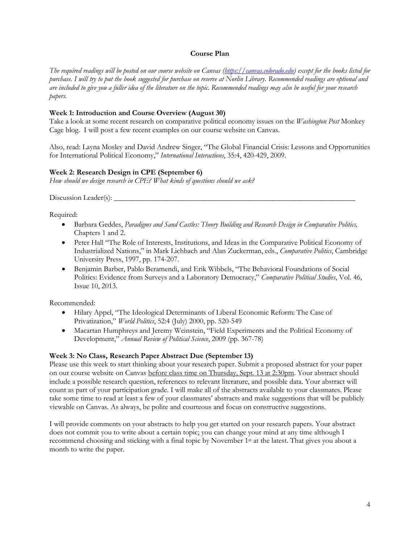#### **Course Plan**

*The required readings will be posted on our course website on Canvas [\(https://canvas.colorado.edu\)](https://canvas.colorado.edu/) except for the books listed for purchase. I will try to put the book suggested for purchase on reserve at Norlin Library. Recommended readings are optional and are included to give you a fuller idea of the literature on the topic. Recommended readings may also be useful for your research papers.*

#### **Week 1: Introduction and Course Overview (August 30)**

Take a look at some recent research on comparative political economy issues on the *Washington Post* Monkey Cage blog. I will post a few recent examples on our course website on Canvas.

Also, read: Layna Mosley and David Andrew Singer, "The Global Financial Crisis: Lessons and Opportunities for International Political Economy," *International Interactions*, 35:4, 420-429, 2009.

#### **Week 2: Research Design in CPE (September 6)**

*How should we design research in CPE? What kinds of questions should we ask?* 

Discussion Leader(s): \_\_\_\_\_\_\_\_\_\_\_\_\_\_\_\_\_\_\_\_\_\_\_\_\_\_\_\_\_\_\_\_\_\_\_\_\_\_\_\_\_\_\_\_\_\_\_\_\_\_\_\_\_\_\_\_\_\_\_\_\_\_\_\_

Required:

- Barbara Geddes, *Paradigms and Sand Castles: Theory Building and Research Design in Comparative Politics,*  Chapters 1 and 2.
- Peter Hall "The Role of Interests, Institutions, and Ideas in the Comparative Political Economy of Industrialized Nations," in Mark Lichbach and Alan Zuckerman, eds., *Comparative Politics*, Cambridge University Press, 1997, pp. 174-207.
- Benjamin Barber, Pablo Beramendi, and Erik Wibbels, "The Behavioral Foundations of Social Politics: Evidence from Surveys and a Laboratory Democracy," *Comparative Political Studies*, Vol. 46, Issue 10, 2013.

Recommended:

- Hilary Appel, "The Ideological Determinants of Liberal Economic Reform: The Case of Privatization," *World Politics*, 52:4 (July) 2000, pp. 520-549
- Macartan Humphreys and Jeremy Weinstein, "Field Experiments and the Political Economy of Development," *Annual Review of Political Science*, 2009 (pp. 367-78)

#### **Week 3: No Class, Research Paper Abstract Due (September 13)**

Please use this week to start thinking about your research paper. Submit a proposed abstract for your paper on our course website on Canvas before class time on Thursday, Sept. 13 at 2:30pm. Your abstract should include a possible research question, references to relevant literature, and possible data. Your abstract will count as part of your participation grade. I will make all of the abstracts available to your classmates. Please take some time to read at least a few of your classmates' abstracts and make suggestions that will be publicly viewable on Canvas. As always, be polite and courteous and focus on constructive suggestions.

I will provide comments on your abstracts to help you get started on your research papers. Your abstract does not commit you to write about a certain topic; you can change your mind at any time although I recommend choosing and sticking with a final topic by November 1st at the latest. That gives you about a month to write the paper.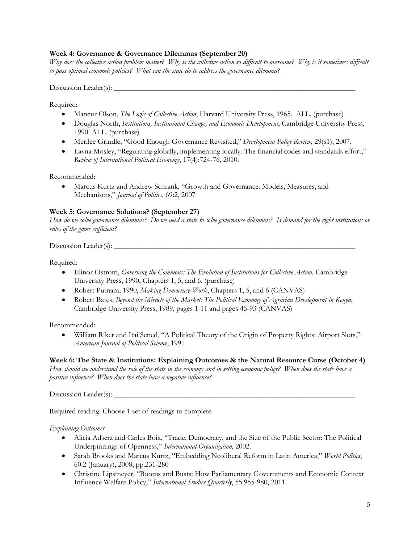### **Week 4: Governance & Governance Dilemmas (September 20)**

*Why does the collective action problem matter? Why is the collective action so difficult to overcome? Why is it sometimes difficult to pass optimal economic policies? What can the state do to address the governance dilemma?*

 $Discussion$  Leader(s):  $\_\_$ 

Required:

- Mancur Olson, *The Logic of Collective Action*, Harvard University Press, 1965. ALL. (purchase)
- Douglas North, *Institutions, Institutional Change, and Economic Development*, Cambridge University Press, 1990. ALL. (purchase)
- Merilee Grindle, "Good Enough Governance Revisited," *Development Policy Review*, 29(s1), 2007.
- Layna Mosley, "Regulating globally, implementing locally: The financial codes and standards effort," *Review of International Political Economy*, 17(4):724-76, 2010.

Recommended:

• Marcus Kurtz and Andrew Schrank, "Growth and Governance: Models, Measures, and Mechanisms," *Journal of Politics*, 69:2, 2007

### **Week 5: Governance Solutions? (September 27)**

*How do we solve governance dilemmas? Do we need a state to solve governance dilemmas? Is demand for the right institutions or rules of the game sufficient?*

Discussion Leader(s): \_\_\_\_\_\_\_\_\_\_\_\_\_\_\_\_\_\_\_\_\_\_\_\_\_\_\_\_\_\_\_\_\_\_\_\_\_\_\_\_\_\_\_\_\_\_\_\_\_\_\_\_\_\_\_\_\_\_\_\_\_\_\_\_

Required:

- Elinor Ostrom, *Governing the Commons: The Evolution of Institutions for Collective Action*, Cambridge University Press, 1990, Chapters 1, 5, and 6. (purchase)
- Robert Putnam, 1990, *Making Democracy Work*, Chapters 1, 5, and 6 (CANVAS)
- Robert Bates, *Beyond the Miracle of the Market: The Political Economy of Agrarian Development in Kenya*, Cambridge University Press, 1989, pages 1-11 and pages 45-93 (CANVAS)

Recommended:

• William Riker and Itai Sened, "A Political Theory of the Origin of Property Rights: Airport Slots," *American Journal of Political Science*, 1991

### **Week 6: The State & Institutions: Explaining Outcomes & the Natural Resource Curse (October 4)**

*How should we understand the role of the state in the economy and in setting economic policy? When does the state have a positive influence? When does the state have a negative influence?*

Discussion Leader(s): \_\_\_\_\_\_\_\_\_\_\_\_\_\_\_\_\_\_\_\_\_\_\_\_\_\_\_\_\_\_\_\_\_\_\_\_\_\_\_\_\_\_\_\_\_\_\_\_\_\_\_\_\_\_\_\_\_\_\_\_\_\_\_\_

Required reading: Choose 1 set of readings to complete.

### *Explaining Outcomes*

- Alicia Adsera and Carles Boix, "Trade, Democracy, and the Size of the Public Sector: The Political Underpinnings of Openness," *International Organization*, 2002.
- Sarah Brooks and Marcus Kurtz, "Embedding Neoliberal Reform in Latin America," *World Politics*, 60:2 (January), 2008, pp.231-280
- Christine Lipsmeyer, "Booms and Busts: How Parliamentary Governments and Economic Context Influence Welfare Policy," *International Studies Quarterly*, 55:955-980, 2011.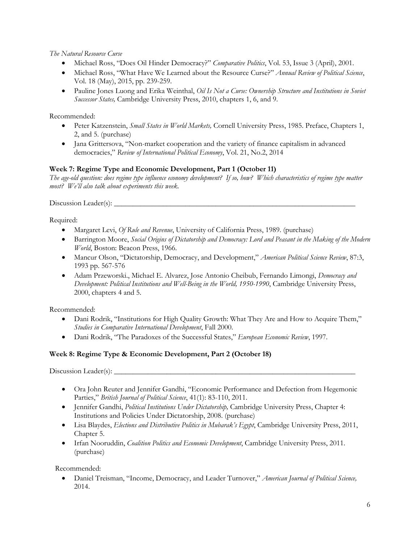*The Natural Resource Curse*

- Michael Ross, "Does Oil Hinder Democracy?" *Comparative Politics*, Vol. 53, Issue 3 (April), 2001.
- Michael Ross, "What Have We Learned about the Resource Curse?" *Annual Review of Political Science*, Vol. 18 (May), 2015, pp. 239-259.
- Pauline Jones Luong and Erika Weinthal, *Oil Is Not a Curse: Ownership Structure and Institutions in Soviet Successor States,* Cambridge University Press, 2010, chapters 1, 6, and 9.

Recommended:

- Peter Katzenstein, *Small States in World Markets,* Cornell University Press, 1985. Preface, Chapters 1, 2, and 5. (purchase)
- Jana Grittersova, "Non-market cooperation and the variety of finance capitalism in advanced democracies," *Review of International Political Economy*, Vol. 21, No.2, 2014

# **Week 7: Regime Type and Economic Development, Part 1 (October 11)**

*The age-old question: does regime type influence economy development? If so, how? Which characteristics of regime type matter most? We'll also talk about experiments this week.*

Discussion Leader(s): \_\_\_\_\_\_\_\_\_\_\_\_\_\_\_\_\_\_\_\_\_\_\_\_\_\_\_\_\_\_\_\_\_\_\_\_\_\_\_\_\_\_\_\_\_\_\_\_\_\_\_\_\_\_\_\_\_\_\_\_\_\_\_\_

Required:

- Margaret Levi, *Of Rule and Revenue*, University of California Press, 1989. (purchase)
- Barrington Moore, *Social Origins of Dictatorship and Democracy: Lord and Peasant in the Making of the Modern World*, Boston: Beacon Press, 1966.
- Mancur Olson, "Dictatorship, Democracy, and Development," *American Political Science Review*, 87:3, 1993 pp. 567-576
- Adam Przeworski., Michael E. Alvarez, Jose Antonio Cheibub, Fernando Limongi, *Democracy and Development: Political Institutions and Well-Being in the World, 1950-1990*, Cambridge University Press, 2000, chapters 4 and 5.

Recommended:

- Dani Rodrik, "Institutions for High Quality Growth: What They Are and How to Acquire Them," *Studies in Comparative International Development*, Fall 2000.
- Dani Rodrik, "The Paradoxes of the Successful States," *European Economic Review*, 1997.

# **Week 8: Regime Type & Economic Development, Part 2 (October 18)**

Discussion Leader(s): \_\_\_\_\_\_\_\_\_\_\_\_\_\_\_\_\_\_\_\_\_\_\_\_\_\_\_\_\_\_\_\_\_\_\_\_\_\_\_\_\_\_\_\_\_\_\_\_\_\_\_\_\_\_\_\_\_\_\_\_\_\_\_\_

- Ora John Reuter and Jennifer Gandhi, "Economic Performance and Defection from Hegemonic Parties," *British Journal of Political Science*, 41(1): 83-110, 2011.
- Jennifer Gandhi, *Political Institutions Under Dictatorship,* Cambridge University Press, Chapter 4: Institutions and Policies Under Dictatorship, 2008. (purchase)
- Lisa Blaydes, *Elections and Distributive Politics in Mubarak's Egypt*, Cambridge University Press, 2011, Chapter 5.
- Irfan Nooruddin, *Coalition Politics and Economic Development*, Cambridge University Press, 2011. (purchase)

Recommended:

• Daniel Treisman, "Income, Democracy, and Leader Turnover," *American Journal of Political Science,*  2014.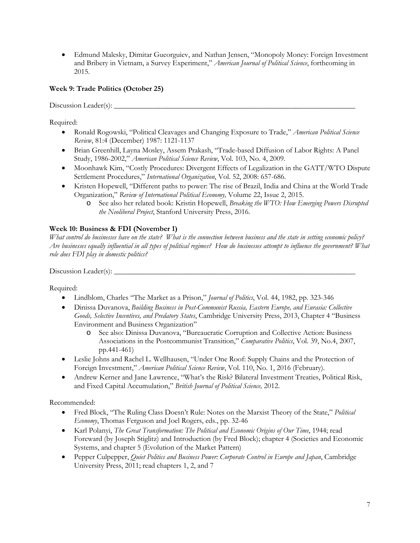• Edmund Malesky, Dimitar Gueorguiev, and Nathan Jensen, "Monopoly Money: Foreign Investment and Bribery in Vietnam, a Survey Experiment," *American Journal of Political Science*, forthcoming in 2015.

## **Week 9: Trade Politics (October 25)**

Discussion Leader(s): \_\_\_\_\_\_\_\_\_\_\_\_\_\_\_\_\_\_\_\_\_\_\_\_\_\_\_\_\_\_\_\_\_\_\_\_\_\_\_\_\_\_\_\_\_\_\_\_\_\_\_\_\_\_\_\_\_\_\_\_\_\_\_\_

Required:

- Ronald Rogowski, "Political Cleavages and Changing Exposure to Trade," *American Political Science Review*, 81:4 (December) 1987: 1121-1137
- Brian Greenhill, Layna Mosley, Assem Prakash, "Trade-based Diffusion of Labor Rights: A Panel Study, 1986-2002," *American Political Science Review*, Vol. 103, No. 4, 2009.
- Moonhawk Kim, "Costly Procedures: Divergent Effects of Legalization in the GATT/WTO Dispute Settlement Procedures," *International Organization*, Vol. 52, 2008: 657-686.
- Kristen Hopewell, "Different paths to power: The rise of Brazil, India and China at the World Trade Organization," *Review of International Political Economy,* Volume 22, Issue 2, 2015.
	- o See also her related book: Kristin Hopewell, *Breaking the WTO: How Emerging Powers Disrupted the Neoliberal Project*, Stanford University Press, 2016.

### **Week 10: Business & FDI (November 1)**

*What control do businesses have on the state? What is the connection between business and the state in setting economic policy? Are businesses equally influential in all types of political regimes? How do businesses attempt to influence the government? What role does FDI play in domestic politics?*

Discussion Leader(s): \_\_\_\_\_\_\_\_\_\_\_\_\_\_\_\_\_\_\_\_\_\_\_\_\_\_\_\_\_\_\_\_\_\_\_\_\_\_\_\_\_\_\_\_\_\_\_\_\_\_\_\_\_\_\_\_\_\_\_\_\_\_\_\_

Required:

- Lindblom, Charles "The Market as a Prison," *Journal of Politics*, Vol. 44, 1982, pp. 323-346
- Dinissa Duvanova, *Building Business in Post-Communist Russia, Eastern Europe, and Eurasia: Collective Goods, Selective Incentives, and Predatory States*, Cambridge University Press, 2013, Chapter 4 "Business Environment and Business Organization"
	- o See also: Dinissa Duvanova, "Bureaucratic Corruption and Collective Action: Business Associations in the Postcommunist Transition," *Comparative Politics*, Vol. 39, No.4, 2007, pp.441-461)
- Leslie Johns and Rachel L. Wellhausen, "Under One Roof: Supply Chains and the Protection of Foreign Investment," *American Political Science Review*, Vol. 110, No. 1, 2016 (February).
- Andrew Kerner and Jane Lawrence, "What's the Risk? Bilateral Investment Treaties, Political Risk, and Fixed Capital Accumulation," *British Journal of Political Science,* 2012.

Recommended:

- Fred Block, "The Ruling Class Doesn't Rule: Notes on the Marxist Theory of the State," *Political Economy*, Thomas Ferguson and Joel Rogers, eds., pp. 32-46
- Karl Polanyi, *The Great Transformation: The Political and Economic Origins of Our Time*, 1944; read Foreward (by Joseph Stiglitz) and Introduction (by Fred Block); chapter 4 (Societies and Economic Systems, and chapter 5 (Evolution of the Market Pattern)
- Pepper Culpepper, *Quiet Politics and Business Power: Corporate Control in Europe and Japan*, Cambridge University Press, 2011; read chapters 1, 2, and 7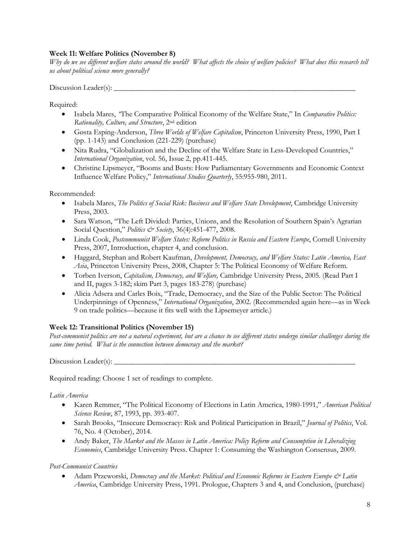### **Week 11: Welfare Politics (November 8)**

*Why do we see different welfare states around the world? What affects the choice of welfare policies? What does this research tell us about political science more generally?*

Discussion Leader(s):  $\_\_$ 

Required:

- Isabela Mares, *"*The Comparative Political Economy of the Welfare State," In *Comparative Politics: Rationality, Culture, and Structure*, 2nd edition
- Gøsta Esping-Anderson, *Three Worlds of Welfare Capitalism*, Princeton University Press, 1990, Part I (pp. 1-143) and Conclusion (221-229) (purchase)
- Nita Rudra, "Globalization and the Decline of the Welfare State in Less-Developed Countries," *International Organization*, vol. 56, Issue 2, pp.411-445.
- Christine Lipsmeyer, "Booms and Busts: How Parliamentary Governments and Economic Context Influence Welfare Policy," *International Studies Quarterly*, 55:955-980, 2011.

Recommended:

- Isabela Mares, *The Politics of Social Risk: Business and Welfare State Development*, Cambridge University Press, 2003.
- Sara Watson, "The Left Divided: Parties, Unions, and the Resolution of Southern Spain's Agrarian Social Question," *Politics & Society*, 36(4):451-477, 2008.
- Linda Cook, *Postcommunist Welfare States: Reform Politics in Russia and Eastern Europe*, Cornell University Press, 2007, Introduction, chapter 4, and conclusion.
- Haggard, Stephan and Robert Kaufman, *Development, Democracy, and Welfare States: Latin America, East Asia*, Princeton University Press, 2008, Chapter 5: The Political Economy of Welfare Reform.
- Torben Iverson, *Capitalism, Democracy, and Welfare,* Cambridge University Press, 2005. (Read Part I and II, pages 3-182; skim Part 3, pages 183-278) (purchase)
- Alicia Adsera and Carles Boix, "Trade, Democracy, and the Size of the Public Sector: The Political Underpinnings of Openness," *International Organization*, 2002. (Recommended again here—as in Week 9 on trade politics—because it fits well with the Lipsemeyer article.)

### **Week 12: Transitional Politics (November 15)**

*Post-communist politics are not a natural experiment, but are a chance to see different states undergo similar challenges during the same time period. What is the connection between democracy and the market?* 

Discussion Leader(s): \_\_\_\_\_\_\_\_\_\_\_\_\_\_\_\_\_\_\_\_\_\_\_\_\_\_\_\_\_\_\_\_\_\_\_\_\_\_\_\_\_\_\_\_\_\_\_\_\_\_\_\_\_\_\_\_\_\_\_\_\_\_\_\_

Required reading: Choose 1 set of readings to complete.

*Latin America*

- Karen Remmer, "The Political Economy of Elections in Latin America, 1980-1991," *American Political Science Review*, 87, 1993, pp. 393-407.
- Sarah Brooks, "Insecure Democracy: Risk and Political Participation in Brazil," *Journal of Politics*, Vol. 76, No. 4 (October), 2014.
- Andy Baker, *The Market and the Masses in Latin America: Policy Reform and Consumption in Liberalizing Economies*, Cambridge University Press. Chapter 1: Consuming the Washington Consensus, 2009.

*Post-Communist Countries*

• Adam Przeworski, *Democracy and the Market: Political and Economic Reforms in Eastern Europe & Latin America*, Cambridge University Press, 1991. Prologue, Chapters 3 and 4, and Conclusion, (purchase)